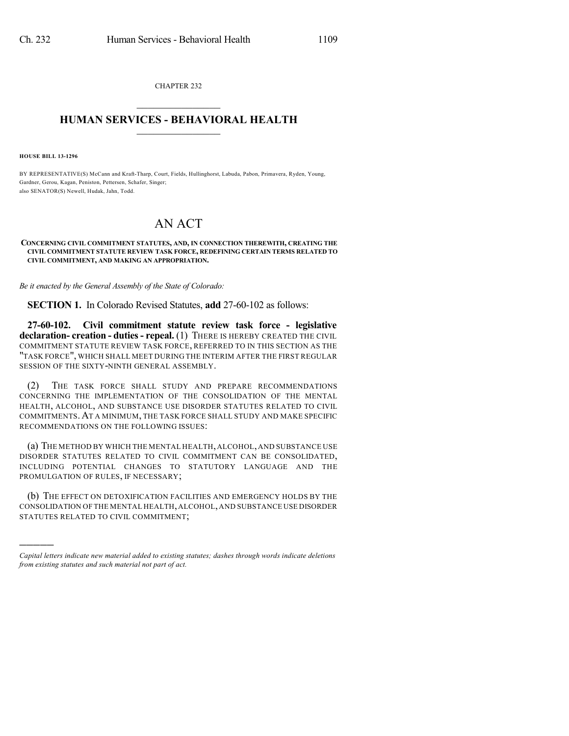CHAPTER 232  $\overline{\phantom{a}}$  . The set of the set of the set of the set of the set of the set of the set of the set of the set of the set of the set of the set of the set of the set of the set of the set of the set of the set of the set o

## **HUMAN SERVICES - BEHAVIORAL HEALTH**  $\frac{1}{2}$  ,  $\frac{1}{2}$  ,  $\frac{1}{2}$  ,  $\frac{1}{2}$  ,  $\frac{1}{2}$  ,  $\frac{1}{2}$  ,  $\frac{1}{2}$

**HOUSE BILL 13-1296**

)))))

BY REPRESENTATIVE(S) McCann and Kraft-Tharp, Court, Fields, Hullinghorst, Labuda, Pabon, Primavera, Ryden, Young, Gardner, Gerou, Kagan, Peniston, Pettersen, Schafer, Singer; also SENATOR(S) Newell, Hudak, Jahn, Todd.

## AN ACT

## **CONCERNING CIVIL COMMITMENT STATUTES, AND, IN CONNECTION THEREWITH, CREATING THE CIVIL COMMITMENT STATUTE REVIEW TASK FORCE, REDEFINING CERTAIN TERMS RELATED TO CIVIL COMMITMENT, AND MAKING AN APPROPRIATION.**

*Be it enacted by the General Assembly of the State of Colorado:*

**SECTION 1.** In Colorado Revised Statutes, **add** 27-60-102 as follows:

**27-60-102. Civil commitment statute review task force - legislative declaration- creation - duties- repeal.** (1) THERE IS HEREBY CREATED THE CIVIL COMMITMENT STATUTE REVIEW TASK FORCE, REFERRED TO IN THIS SECTION AS THE "TASK FORCE", WHICH SHALL MEET DURING THE INTERIM AFTER THE FIRST REGULAR SESSION OF THE SIXTY-NINTH GENERAL ASSEMBLY.

(2) THE TASK FORCE SHALL STUDY AND PREPARE RECOMMENDATIONS CONCERNING THE IMPLEMENTATION OF THE CONSOLIDATION OF THE MENTAL HEALTH, ALCOHOL, AND SUBSTANCE USE DISORDER STATUTES RELATED TO CIVIL COMMITMENTS.AT A MINIMUM, THE TASK FORCE SHALL STUDY AND MAKE SPECIFIC RECOMMENDATIONS ON THE FOLLOWING ISSUES:

(a) THE METHOD BY WHICH THE MENTAL HEALTH,ALCOHOL,AND SUBSTANCE USE DISORDER STATUTES RELATED TO CIVIL COMMITMENT CAN BE CONSOLIDATED, INCLUDING POTENTIAL CHANGES TO STATUTORY LANGUAGE AND THE PROMULGATION OF RULES, IF NECESSARY;

(b) THE EFFECT ON DETOXIFICATION FACILITIES AND EMERGENCY HOLDS BY THE CONSOLIDATION OF THE MENTAL HEALTH,ALCOHOL,AND SUBSTANCE USE DISORDER STATUTES RELATED TO CIVIL COMMITMENT;

*Capital letters indicate new material added to existing statutes; dashes through words indicate deletions from existing statutes and such material not part of act.*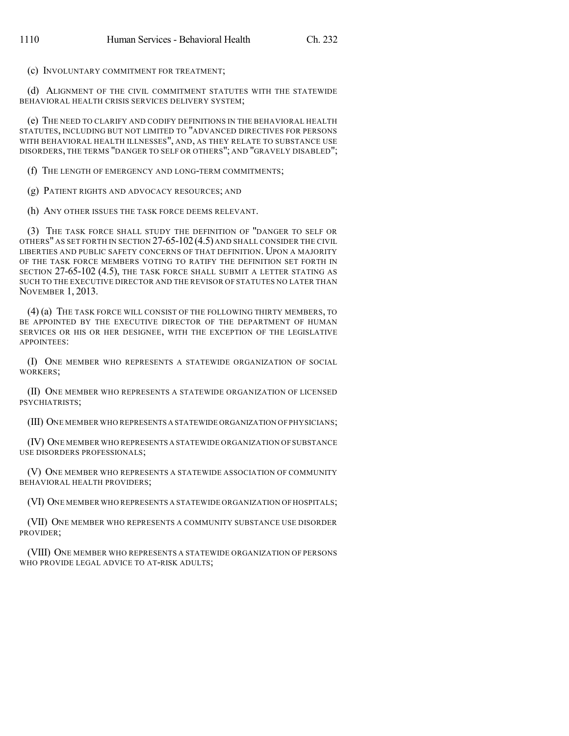(c) INVOLUNTARY COMMITMENT FOR TREATMENT;

(d) ALIGNMENT OF THE CIVIL COMMITMENT STATUTES WITH THE STATEWIDE BEHAVIORAL HEALTH CRISIS SERVICES DELIVERY SYSTEM;

(e) THE NEED TO CLARIFY AND CODIFY DEFINITIONS IN THE BEHAVIORAL HEALTH STATUTES, INCLUDING BUT NOT LIMITED TO "ADVANCED DIRECTIVES FOR PERSONS WITH BEHAVIORAL HEALTH ILLNESSES", AND, AS THEY RELATE TO SUBSTANCE USE DISORDERS, THE TERMS "DANGER TO SELF OR OTHERS"; AND "GRAVELY DISABLED";

(f) THE LENGTH OF EMERGENCY AND LONG-TERM COMMITMENTS;

(g) PATIENT RIGHTS AND ADVOCACY RESOURCES; AND

(h) ANY OTHER ISSUES THE TASK FORCE DEEMS RELEVANT.

(3) THE TASK FORCE SHALL STUDY THE DEFINITION OF "DANGER TO SELF OR OTHERS" AS SET FORTH IN SECTION 27-65-102(4.5) AND SHALL CONSIDER THE CIVIL LIBERTIES AND PUBLIC SAFETY CONCERNS OF THAT DEFINITION. UPON A MAJORITY OF THE TASK FORCE MEMBERS VOTING TO RATIFY THE DEFINITION SET FORTH IN SECTION 27-65-102 (4.5), THE TASK FORCE SHALL SUBMIT A LETTER STATING AS SUCH TO THE EXECUTIVE DIRECTOR AND THE REVISOR OF STATUTES NO LATER THAN NOVEMBER 1, 2013.

(4) (a) THE TASK FORCE WILL CONSIST OF THE FOLLOWING THIRTY MEMBERS, TO BE APPOINTED BY THE EXECUTIVE DIRECTOR OF THE DEPARTMENT OF HUMAN SERVICES OR HIS OR HER DESIGNEE, WITH THE EXCEPTION OF THE LEGISLATIVE APPOINTEES:

(I) ONE MEMBER WHO REPRESENTS A STATEWIDE ORGANIZATION OF SOCIAL WORKERS;

(II) ONE MEMBER WHO REPRESENTS A STATEWIDE ORGANIZATION OF LICENSED PSYCHIATRISTS;

(III) ONE MEMBER WHO REPRESENTS A STATEWIDE ORGANIZATION OF PHYSICIANS;

(IV) ONE MEMBER WHO REPRESENTS A STATEWIDE ORGANIZATION OF SUBSTANCE USE DISORDERS PROFESSIONALS;

(V) ONE MEMBER WHO REPRESENTS A STATEWIDE ASSOCIATION OF COMMUNITY BEHAVIORAL HEALTH PROVIDERS;

(VI) ONE MEMBER WHO REPRESENTS A STATEWIDE ORGANIZATION OF HOSPITALS;

(VII) ONE MEMBER WHO REPRESENTS A COMMUNITY SUBSTANCE USE DISORDER PROVIDER;

(VIII) ONE MEMBER WHO REPRESENTS A STATEWIDE ORGANIZATION OF PERSONS WHO PROVIDE LEGAL ADVICE TO AT-RISK ADULTS;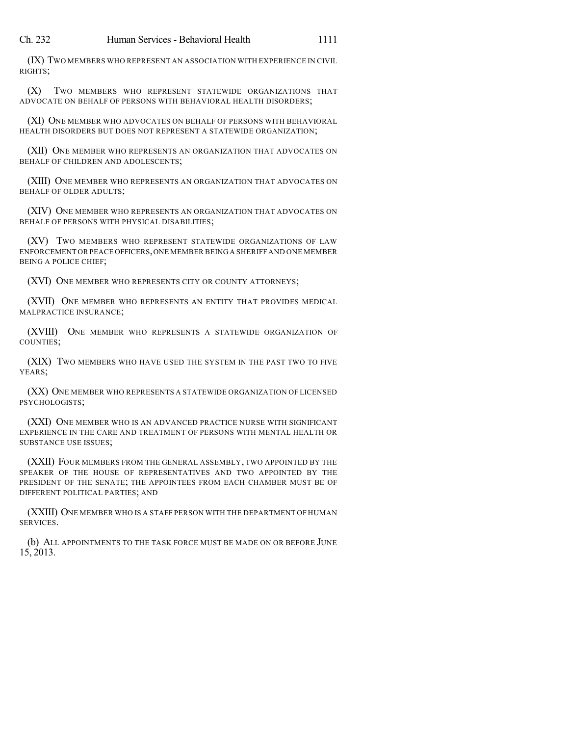(IX) TWO MEMBERS WHO REPRESENT AN ASSOCIATION WITH EXPERIENCE IN CIVIL RIGHTS;

(X) TWO MEMBERS WHO REPRESENT STATEWIDE ORGANIZATIONS THAT ADVOCATE ON BEHALF OF PERSONS WITH BEHAVIORAL HEALTH DISORDERS;

(XI) ONE MEMBER WHO ADVOCATES ON BEHALF OF PERSONS WITH BEHAVIORAL HEALTH DISORDERS BUT DOES NOT REPRESENT A STATEWIDE ORGANIZATION;

(XII) ONE MEMBER WHO REPRESENTS AN ORGANIZATION THAT ADVOCATES ON BEHALF OF CHILDREN AND ADOLESCENTS;

(XIII) ONE MEMBER WHO REPRESENTS AN ORGANIZATION THAT ADVOCATES ON BEHALF OF OLDER ADULTS;

(XIV) ONE MEMBER WHO REPRESENTS AN ORGANIZATION THAT ADVOCATES ON BEHALF OF PERSONS WITH PHYSICAL DISABILITIES;

(XV) TWO MEMBERS WHO REPRESENT STATEWIDE ORGANIZATIONS OF LAW ENFORCEMENT OR PEACE OFFICERS,ONE MEMBER BEING A SHERIFF AND ONE MEMBER BEING A POLICE CHIEF;

(XVI) ONE MEMBER WHO REPRESENTS CITY OR COUNTY ATTORNEYS;

(XVII) ONE MEMBER WHO REPRESENTS AN ENTITY THAT PROVIDES MEDICAL MALPRACTICE INSURANCE;

(XVIII) ONE MEMBER WHO REPRESENTS A STATEWIDE ORGANIZATION OF COUNTIES;

(XIX) TWO MEMBERS WHO HAVE USED THE SYSTEM IN THE PAST TWO TO FIVE YEARS;

(XX) ONE MEMBER WHO REPRESENTS A STATEWIDE ORGANIZATION OF LICENSED PSYCHOLOGISTS;

(XXI) ONE MEMBER WHO IS AN ADVANCED PRACTICE NURSE WITH SIGNIFICANT EXPERIENCE IN THE CARE AND TREATMENT OF PERSONS WITH MENTAL HEALTH OR SUBSTANCE USE ISSUES;

(XXII) FOUR MEMBERS FROM THE GENERAL ASSEMBLY, TWO APPOINTED BY THE SPEAKER OF THE HOUSE OF REPRESENTATIVES AND TWO APPOINTED BY THE PRESIDENT OF THE SENATE; THE APPOINTEES FROM EACH CHAMBER MUST BE OF DIFFERENT POLITICAL PARTIES; AND

(XXIII) ONE MEMBER WHO IS A STAFF PERSON WITH THE DEPARTMENT OF HUMAN SERVICES.

(b) ALL APPOINTMENTS TO THE TASK FORCE MUST BE MADE ON OR BEFORE JUNE 15, 2013.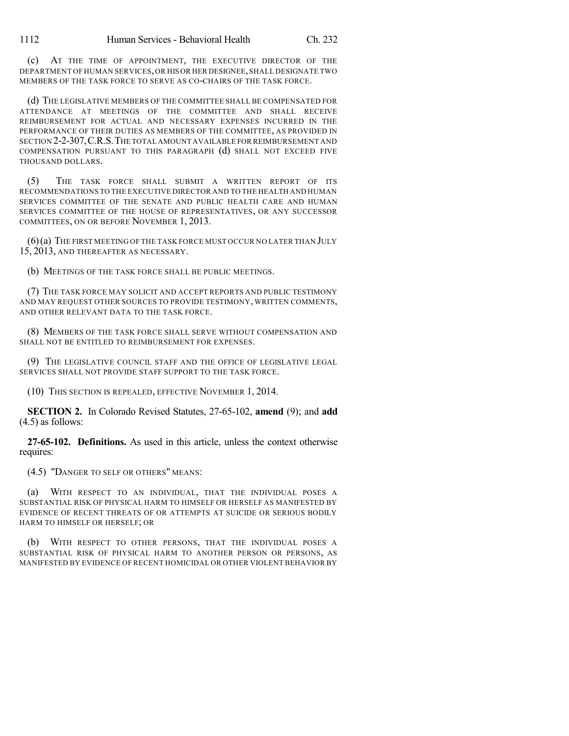(c) AT THE TIME OF APPOINTMENT, THE EXECUTIVE DIRECTOR OF THE DEPARTMENT OF HUMAN SERVICES,OR HIS OR HER DESIGNEE,SHALL DESIGNATE TWO MEMBERS OF THE TASK FORCE TO SERVE AS CO-CHAIRS OF THE TASK FORCE.

(d) THE LEGISLATIVE MEMBERS OF THE COMMITTEE SHALL BE COMPENSATED FOR ATTENDANCE AT MEETINGS OF THE COMMITTEE AND SHALL RECEIVE REIMBURSEMENT FOR ACTUAL AND NECESSARY EXPENSES INCURRED IN THE PERFORMANCE OF THEIR DUTIES AS MEMBERS OF THE COMMITTEE, AS PROVIDED IN SECTION 2-2-307,C.R.S.THE TOTAL AMOUNT AVAILABLE FOR REIMBURSEMENT AND COMPENSATION PURSUANT TO THIS PARAGRAPH (d) SHALL NOT EXCEED FIVE THOUSAND DOLLARS.

(5) THE TASK FORCE SHALL SUBMIT A WRITTEN REPORT OF ITS RECOMMENDATIONS TO THE EXECUTIVE DIRECTOR AND TO THE HEALTH AND HUMAN SERVICES COMMITTEE OF THE SENATE AND PUBLIC HEALTH CARE AND HUMAN SERVICES COMMITTEE OF THE HOUSE OF REPRESENTATIVES, OR ANY SUCCESSOR COMMITTEES, ON OR BEFORE NOVEMBER 1, 2013.

(6)(a) THE FIRST MEETING OF THE TASK FORCE MUST OCCUR NO LATER THAN JULY 15, 2013, AND THEREAFTER AS NECESSARY.

(b) MEETINGS OF THE TASK FORCE SHALL BE PUBLIC MEETINGS.

(7) THE TASK FORCE MAY SOLICIT AND ACCEPT REPORTS AND PUBLIC TESTIMONY AND MAY REQUEST OTHER SOURCES TO PROVIDE TESTIMONY, WRITTEN COMMENTS, AND OTHER RELEVANT DATA TO THE TASK FORCE.

(8) MEMBERS OF THE TASK FORCE SHALL SERVE WITHOUT COMPENSATION AND SHALL NOT BE ENTITLED TO REIMBURSEMENT FOR EXPENSES.

(9) THE LEGISLATIVE COUNCIL STAFF AND THE OFFICE OF LEGISLATIVE LEGAL SERVICES SHALL NOT PROVIDE STAFF SUPPORT TO THE TASK FORCE.

(10) THIS SECTION IS REPEALED, EFFECTIVE NOVEMBER 1, 2014.

**SECTION 2.** In Colorado Revised Statutes, 27-65-102, **amend** (9); and **add** (4.5) as follows:

**27-65-102. Definitions.** As used in this article, unless the context otherwise requires:

(4.5) "DANGER TO SELF OR OTHERS" MEANS:

(a) WITH RESPECT TO AN INDIVIDUAL, THAT THE INDIVIDUAL POSES A SUBSTANTIAL RISK OF PHYSICAL HARM TO HIMSELF OR HERSELF AS MANIFESTED BY EVIDENCE OF RECENT THREATS OF OR ATTEMPTS AT SUICIDE OR SERIOUS BODILY HARM TO HIMSELF OR HERSELF; OR

(b) WITH RESPECT TO OTHER PERSONS, THAT THE INDIVIDUAL POSES A SUBSTANTIAL RISK OF PHYSICAL HARM TO ANOTHER PERSON OR PERSONS, AS MANIFESTED BY EVIDENCE OF RECENT HOMICIDAL OR OTHER VIOLENT BEHAVIOR BY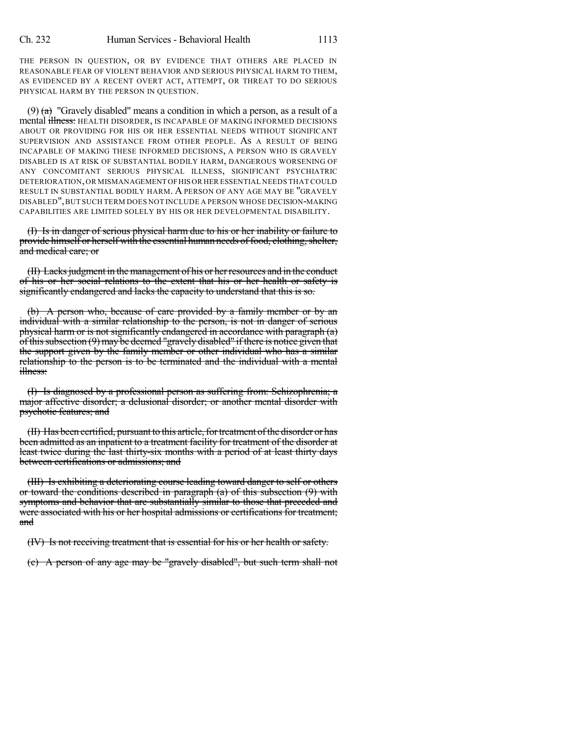THE PERSON IN QUESTION, OR BY EVIDENCE THAT OTHERS ARE PLACED IN REASONABLE FEAR OF VIOLENT BEHAVIOR AND SERIOUS PHYSICAL HARM TO THEM, AS EVIDENCED BY A RECENT OVERT ACT, ATTEMPT, OR THREAT TO DO SERIOUS PHYSICAL HARM BY THE PERSON IN QUESTION.

(9)  $(a)$  "Gravely disabled" means a condition in which a person, as a result of a mental illness: HEALTH DISORDER, IS INCAPABLE OF MAKING INFORMED DECISIONS ABOUT OR PROVIDING FOR HIS OR HER ESSENTIAL NEEDS WITHOUT SIGNIFICANT SUPERVISION AND ASSISTANCE FROM OTHER PEOPLE. AS A RESULT OF BEING INCAPABLE OF MAKING THESE INFORMED DECISIONS, A PERSON WHO IS GRAVELY DISABLED IS AT RISK OF SUBSTANTIAL BODILY HARM, DANGEROUS WORSENING OF ANY CONCOMITANT SERIOUS PHYSICAL ILLNESS, SIGNIFICANT PSYCHIATRIC DETERIORATION,OR MISMANAGEMENT OFHIS OR HER ESSENTIAL NEEDS THAT COULD RESULT IN SUBSTANTIAL BODILY HARM. A PERSON OF ANY AGE MAY BE "GRAVELY DISABLED",BUT SUCH TERM DOES NOT INCLUDE A PERSON WHOSE DECISION-MAKING CAPABILITIES ARE LIMITED SOLELY BY HIS OR HER DEVELOPMENTAL DISABILITY.

(I) Is in danger of serious physical harm due to his or her inability or failure to provide himself or herself with the essential human needs of food, clothing, shelter, and medical care; or

(II) Lacks judgment in the management of his or her resources and in the conduct of his or her social relations to the extent that his or her health or safety is significantly endangered and lacks the capacity to understand that this is so.

(b) A person who, because of care provided by a family member or by an individual with a similar relationship to the person, is not in danger of serious physical harm or is not significantly endangered in accordance with paragraph (a) of this subsection (9) may be deemed "gravely disabled" if there is notice given that the support given by the family member or other individual who has a similar relationship to the person is to be terminated and the individual with a mental illness:

(I) Is diagnosed by a professional person as suffering from: Schizophrenia; a major affective disorder; a delusional disorder; or another mental disorder with psychotic features; and

(II) Has been certified, pursuant to this article, for treatment of the disorder or has been admitted as an inpatient to a treatment facility for treatment of the disorder at least twice during the last thirty-six months with a period of at least thirty days between certifications or admissions; and

(III) Is exhibiting a deteriorating course leading toward danger to self or others or toward the conditions described in paragraph  $(a)$  of this subsection  $(9)$  with symptoms and behavior that are substantially similar to those that preceded and were associated with his or her hospital admissions or certifications for treatment; and

(IV) Is not receiving treatment that is essential for his or her health or safety.

(c) A person of any age may be "gravely disabled", but such term shall not